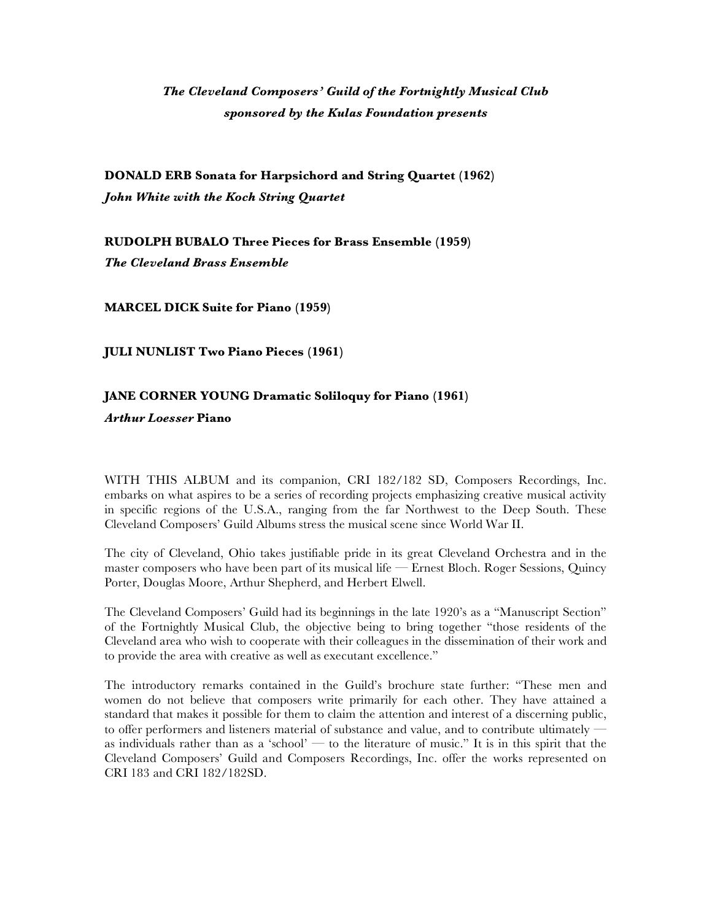## *The Cleveland Composers' Guild of the Fortnightly Musical Club sponsored by the Kulas Foundation presents*

**DONALD ERB Sonata for Harpsichord and String Quartet (1962)** *John White with the Koch String Quartet*

**RUDOLPH BUBALO Three Pieces for Brass Ensemble (1959)** *The Cleveland Brass Ensemble*

**MARCEL DICK Suite for Piano (1959)**

**JULI NUNLIST Two Piano Pieces (1961)**

## **JANE CORNER YOUNG Dramatic Soliloquy for Piano (1961)**

*Arthur Loesser* **Piano**

WITH THIS ALBUM and its companion, CRI 182/182 SD, Composers Recordings, Inc. embarks on what aspires to be a series of recording projects emphasizing creative musical activity in specific regions of the U.S.A., ranging from the far Northwest to the Deep South. These Cleveland Composers' Guild Albums stress the musical scene since World War II.

The city of Cleveland, Ohio takes justifiable pride in its great Cleveland Orchestra and in the master composers who have been part of its musical life — Ernest Bloch. Roger Sessions, Quincy Porter, Douglas Moore, Arthur Shepherd, and Herbert Elwell.

The Cleveland Composers' Guild had its beginnings in the late 1920's as a "Manuscript Section" of the Fortnightly Musical Club, the objective being to bring together "those residents of the Cleveland area who wish to cooperate with their colleagues in the dissemination of their work and to provide the area with creative as well as executant excellence."

The introductory remarks contained in the Guild's brochure state further: "These men and women do not believe that composers write primarily for each other. They have attained a standard that makes it possible for them to claim the attention and interest of a discerning public, to offer performers and listeners material of substance and value, and to contribute ultimately as individuals rather than as a 'school' — to the literature of music." It is in this spirit that the Cleveland Composers' Guild and Composers Recordings, Inc. offer the works represented on CRI 183 and CRI 182/182SD.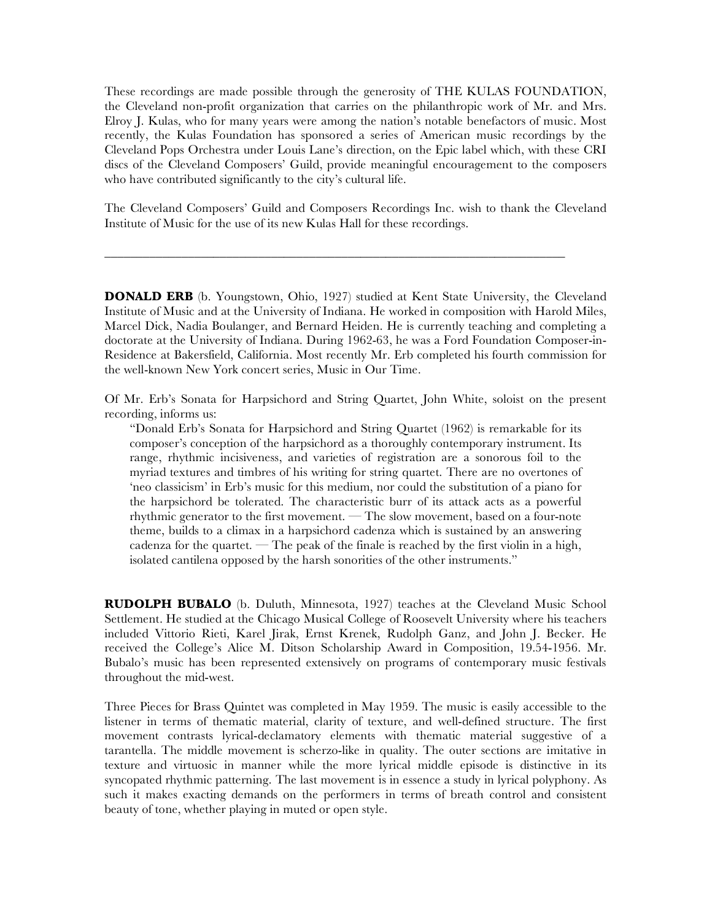These recordings are made possible through the generosity of THE KULAS FOUNDATION, the Cleveland non-profit organization that carries on the philanthropic work of Mr. and Mrs. Elroy J. Kulas, who for many years were among the nation's notable benefactors of music. Most recently, the Kulas Foundation has sponsored a series of American music recordings by the Cleveland Pops Orchestra under Louis Lane's direction, on the Epic label which, with these CRI discs of the Cleveland Composers' Guild, provide meaningful encouragement to the composers who have contributed significantly to the city's cultural life.

The Cleveland Composers' Guild and Composers Recordings Inc. wish to thank the Cleveland Institute of Music for the use of its new Kulas Hall for these recordings.

\_\_\_\_\_\_\_\_\_\_\_\_\_\_\_\_\_\_\_\_\_\_\_\_\_\_\_\_\_\_\_\_\_\_\_\_\_\_\_\_\_\_\_\_\_\_\_\_\_\_\_\_\_\_\_\_\_\_\_\_\_\_\_\_\_\_\_\_\_\_\_\_

**DONALD ERB** (b. Youngstown, Ohio, 1927) studied at Kent State University, the Cleveland Institute of Music and at the University of Indiana. He worked in composition with Harold Miles, Marcel Dick, Nadia Boulanger, and Bernard Heiden. He is currently teaching and completing a doctorate at the University of Indiana. During 1962-63, he was a Ford Foundation Composer-in-Residence at Bakersfield, California. Most recently Mr. Erb completed his fourth commission for the well-known New York concert series, Music in Our Time.

Of Mr. Erb's Sonata for Harpsichord and String Quartet, John White, soloist on the present recording, informs us:

"Donald Erb's Sonata for Harpsichord and String Quartet (1962) is remarkable for its composer's conception of the harpsichord as a thoroughly contemporary instrument. Its range, rhythmic incisiveness, and varieties of registration are a sonorous foil to the myriad textures and timbres of his writing for string quartet. There are no overtones of 'neo classicism' in Erb's music for this medium, nor could the substitution of a piano for the harpsichord be tolerated. The characteristic burr of its attack acts as a powerful rhythmic generator to the first movement. — The slow movement, based on a four-note theme, builds to a climax in a harpsichord cadenza which is sustained by an answering cadenza for the quartet. — The peak of the finale is reached by the first violin in a high, isolated cantilena opposed by the harsh sonorities of the other instruments."

**RUDOLPH BUBALO** (b. Duluth, Minnesota, 1927) teaches at the Cleveland Music School Settlement. He studied at the Chicago Musical College of Roosevelt University where his teachers included Vittorio Rieti, Karel Jirak, Ernst Krenek, Rudolph Ganz, and John J. Becker. He received the College's Alice M. Ditson Scholarship Award in Composition, 19.54-1956. Mr. Bubalo's music has been represented extensively on programs of contemporary music festivals throughout the mid-west.

Three Pieces for Brass Quintet was completed in May 1959. The music is easily accessible to the listener in terms of thematic material, clarity of texture, and well-defined structure. The first movement contrasts lyrical-declamatory elements with thematic material suggestive of a tarantella. The middle movement is scherzo-like in quality. The outer sections are imitative in texture and virtuosic in manner while the more lyrical middle episode is distinctive in its syncopated rhythmic patterning. The last movement is in essence a study in lyrical polyphony. As such it makes exacting demands on the performers in terms of breath control and consistent beauty of tone, whether playing in muted or open style.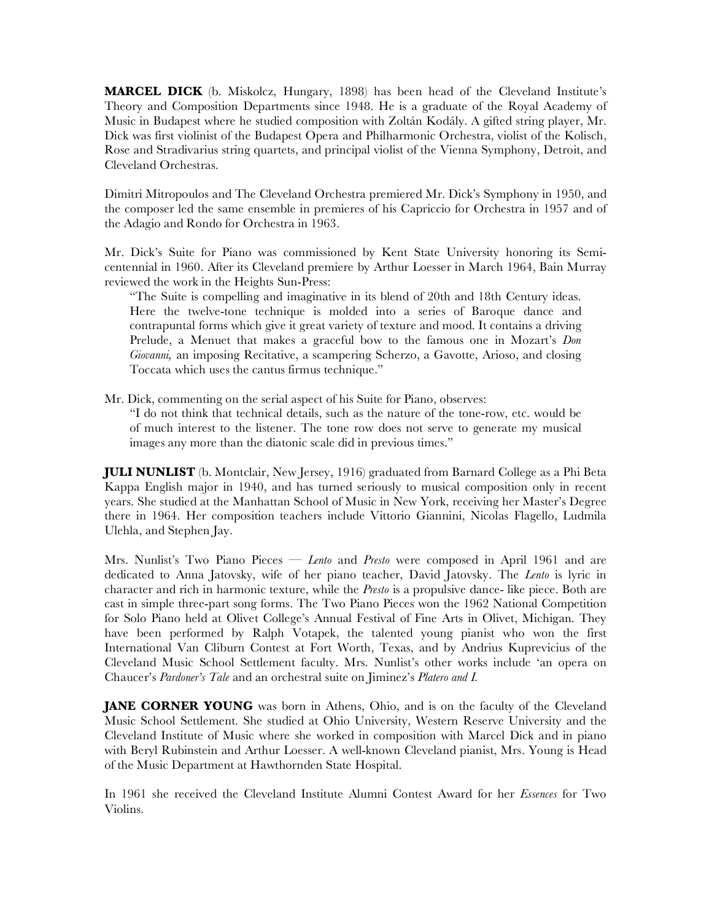**MARCEL DICK** (b. Miskolcz, Hungary, 1898) has been head of the Cleveland Institute's Theory and Composition Departments since 1948. He is a graduate of the Royal Academy of Music in Budapest where he studied composition with Zoltán Kodály. A gifted string player, Mr. Dick was first violinist of the Budapest Opera and Philharmonic Orchestra, violist of the Kolisch, Rose and Stradivarius string quartets, and principal violist of the Vienna Symphony, Detroit, and Cleveland Orchestras.

Dimitri Mitropoulos and The Cleveland Orchestra premiered Mr. Dick's Symphony in 1950, and the composer led the same ensemble in premieres of his Capriccio for Orchestra in 1957 and of the Adagio and Rondo for Orchestra in 1963.

Mr. Dick's Suite for Piano was commissioned by Kent State University honoring its Semicentennial in 1960. After its Cleveland premiere by Arthur Loesser in March 1964, Bain Murray reviewed the work in the Heights Sun-Press:

"The Suite is compelling and imaginative in its blend of 20th and 18th Century ideas. Here the twelve-tone technique is molded into a series of Baroque dance and contrapuntal forms which give it great variety of texture and mood. It contains a driving Prelude, a Menuet that makes a graceful bow to the famous one in Mozart's *Don Giovanni,* an imposing Recitative, a scampering Scherzo, a Gavotte, Arioso, and closing Toccata which uses the cantus firmus technique."

Mr. Dick, commenting on the serial aspect of his Suite for Piano, observes:

"I do not think that technical details, such as the nature of the tone-row, etc. would be of much interest to the listener. The tone row does not serve to generate my musical images any more than the diatonic scale did in previous times."

**JULI NUNLIST** (b. Montclair, New Jersey, 1916) graduated from Barnard College as a Phi Beta Kappa English major in 1940, and has turned seriously to musical composition only in recent years. She studied at the Manhattan School of Music in New York, receiving her Master's Degree there in 1964. Her composition teachers include Vittorio Giannini, Nicolas Flagello, Ludmila Ulehla, and Stephen Jay.

Mrs. Nunlist's Two Piano Pieces — *Lento* and *Presto* were composed in April 1961 and are dedicated to Anna Jatovsky, wife of her piano teacher, David Jatovsky. The *Lento* is lyric in character and rich in harmonic texture, while the *Presto* is a propulsive dance- like piece. Both are cast in simple three-part song forms. The Two Piano Pieces won the 1962 National Competition for Solo Piano held at Olivet College's Annual Festival of Fine Arts in Olivet, Michigan. They have been performed by Ralph Votapek, the talented young pianist who won the first International Van Cliburn Contest at Fort Worth, Texas, and by Andrius Kuprevicius of the Cleveland Music School Settlement faculty. Mrs. Nunlist's other works include 'an opera on Chaucer's *Pardoner's Tale* and an orchestral suite on Jiminez's *Platero and I.*

**JANE CORNER YOUNG** was born in Athens, Ohio, and is on the faculty of the Cleveland Music School Settlement. She studied at Ohio University, Western Reserve University and the Cleveland Institute of Music where she worked in composition with Marcel Dick and in piano with Beryl Rubinstein and Arthur Loesser. A well-known Cleveland pianist, Mrs. Young is Head of the Music Department at Hawthornden State Hospital.

In 1961 she received the Cleveland Institute Alumni Contest Award for her *Essences* for Two Violins.